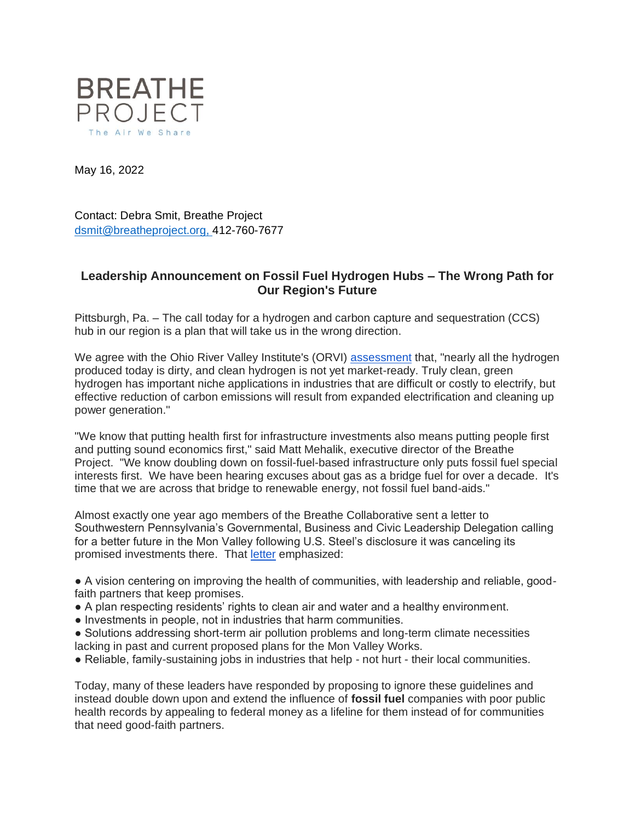

May 16, 2022

Contact: Debra Smit, Breathe Project [dsmit@breatheproject.org,](mailto:dsmit@breatheproject.org) 412-760-7677

## **Leadership Announcement on Fossil Fuel Hydrogen Hubs – The Wrong Path for Our Region's Future**

Pittsburgh, Pa. – The call today for a hydrogen and carbon capture and sequestration (CCS) hub in our region is a plan that will take us in the wrong direction.

We agree with the Ohio River Valley Institute's (ORVI) [assessment](https://ohiorivervalleyinstitute.org/hydrogen-101/) that, "nearly all the hydrogen produced today is dirty, and clean hydrogen is not yet market-ready. Truly clean, green hydrogen has important niche applications in industries that are difficult or costly to electrify, but effective reduction of carbon emissions will result from expanded electrification and cleaning up power generation."

"We know that putting health first for infrastructure investments also means putting people first and putting sound economics first," said Matt Mehalik, executive director of the Breathe Project. "We know doubling down on fossil-fuel-based infrastructure only puts fossil fuel special interests first. We have been hearing excuses about gas as a bridge fuel for over a decade. It's time that we are across that bridge to renewable energy, not fossil fuel band-aids."

Almost exactly one year ago members of the Breathe Collaborative sent a letter to Southwestern Pennsylvania's Governmental, Business and Civic Leadership Delegation calling for a better future in the Mon Valley following U.S. Steel's disclosure it was canceling its promised investments there. That [letter](https://breatheproject.org/app/uploads/2021/05/Leadership-Accountability-Letter_052421AFinalA.pdf) emphasized:

● A vision centering on improving the health of communities, with leadership and reliable, goodfaith partners that keep promises.

- A plan respecting residents' rights to clean air and water and a healthy environment.
- Investments in people, not in industries that harm communities.
- Solutions addressing short-term air pollution problems and long-term climate necessities lacking in past and current proposed plans for the Mon Valley Works.
- Reliable, family-sustaining jobs in industries that help not hurt their local communities.

Today, many of these leaders have responded by proposing to ignore these guidelines and instead double down upon and extend the influence of **fossil fuel** companies with poor public health records by appealing to federal money as a lifeline for them instead of for communities that need good-faith partners.